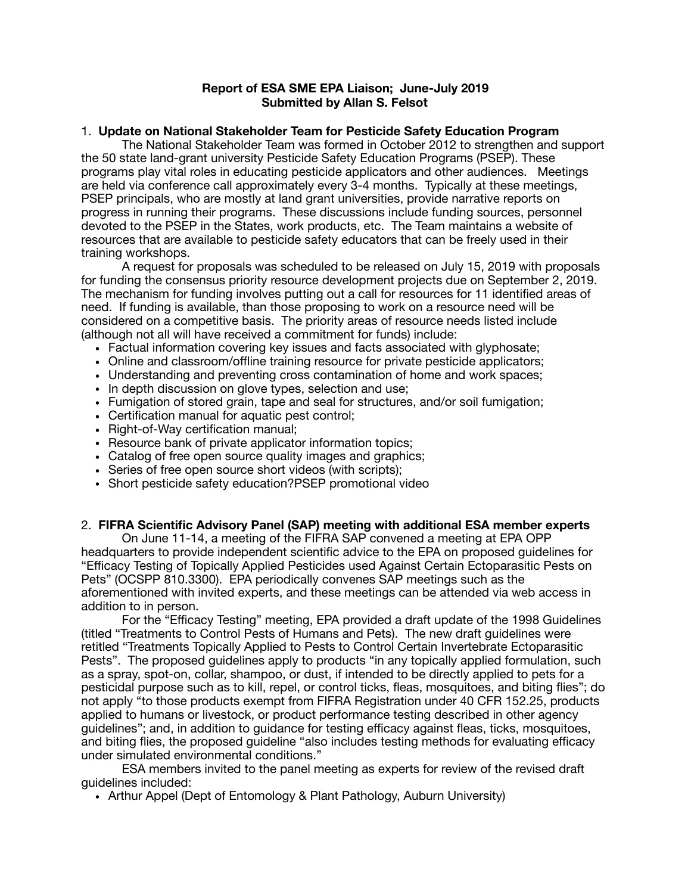## **Report of ESA SME EPA Liaison; June-July 2019 Submitted by Allan S. Felsot**

### 1. **Update on National Stakeholder Team for Pesticide Safety Education Program**

The National Stakeholder Team was formed in October 2012 to strengthen and support the 50 state land-grant university Pesticide Safety Education Programs (PSEP). These programs play vital roles in educating pesticide applicators and other audiences. Meetings are held via conference call approximately every 3-4 months. Typically at these meetings, PSEP principals, who are mostly at land grant universities, provide narrative reports on progress in running their programs. These discussions include funding sources, personnel devoted to the PSEP in the States, work products, etc. The Team maintains a website of resources that are available to pesticide safety educators that can be freely used in their training workshops.

A request for proposals was scheduled to be released on July 15, 2019 with proposals for funding the consensus priority resource development projects due on September 2, 2019. The mechanism for funding involves putting out a call for resources for 11 identified areas of need. If funding is available, than those proposing to work on a resource need will be considered on a competitive basis. The priority areas of resource needs listed include (although not all will have received a commitment for funds) include:

- Factual information covering key issues and facts associated with glyphosate;
- Online and classroom/offline training resource for private pesticide applicators;
- Understanding and preventing cross contamination of home and work spaces;
- In depth discussion on glove types, selection and use;
- Fumigation of stored grain, tape and seal for structures, and/or soil fumigation;
- Certification manual for aquatic pest control;
- Right-of-Way certification manual;
- Resource bank of private applicator information topics;
- Catalog of free open source quality images and graphics;
- Series of free open source short videos (with scripts);
- Short pesticide safety education?PSEP promotional video

# 2. **FIFRA Scientific Advisory Panel (SAP) meeting with additional ESA member experts**

On June 11-14, a meeting of the FIFRA SAP convened a meeting at EPA OPP headquarters to provide independent scientific advice to the EPA on proposed guidelines for "Efficacy Testing of Topically Applied Pesticides used Against Certain Ectoparasitic Pests on Pets" (OCSPP 810.3300). EPA periodically convenes SAP meetings such as the aforementioned with invited experts, and these meetings can be attended via web access in addition to in person.

For the "Efficacy Testing" meeting, EPA provided a draft update of the 1998 Guidelines (titled "Treatments to Control Pests of Humans and Pets). The new draft guidelines were retitled "Treatments Topically Applied to Pests to Control Certain Invertebrate Ectoparasitic Pests". The proposed guidelines apply to products "in any topically applied formulation, such as a spray, spot-on, collar, shampoo, or dust, if intended to be directly applied to pets for a pesticidal purpose such as to kill, repel, or control ticks, fleas, mosquitoes, and biting flies"; do not apply "to those products exempt from FIFRA Registration under 40 CFR 152.25, products applied to humans or livestock, or product performance testing described in other agency guidelines"; and, in addition to guidance for testing efficacy against fleas, ticks, mosquitoes, and biting flies, the proposed guideline "also includes testing methods for evaluating efficacy under simulated environmental conditions."

ESA members invited to the panel meeting as experts for review of the revised draft guidelines included:

• Arthur Appel (Dept of Entomology & Plant Pathology, Auburn University)